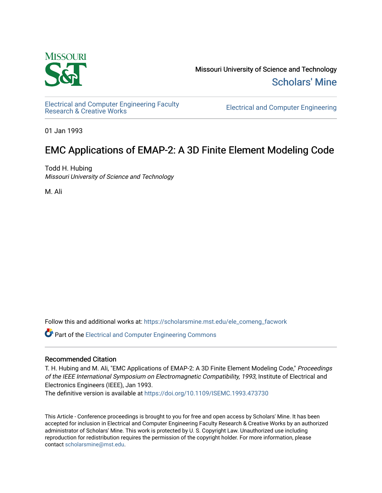

Missouri University of Science and Technology [Scholars' Mine](https://scholarsmine.mst.edu/) 

[Electrical and Computer Engineering Faculty](https://scholarsmine.mst.edu/ele_comeng_facwork)

**Electrical and Computer Engineering** 

01 Jan 1993

# EMC Applications of EMAP-2: A 3D Finite Element Modeling Code

Todd H. Hubing Missouri University of Science and Technology

M. Ali

Follow this and additional works at: [https://scholarsmine.mst.edu/ele\\_comeng\\_facwork](https://scholarsmine.mst.edu/ele_comeng_facwork?utm_source=scholarsmine.mst.edu%2Fele_comeng_facwork%2F1583&utm_medium=PDF&utm_campaign=PDFCoverPages)

**C** Part of the Electrical and Computer Engineering Commons

# Recommended Citation

T. H. Hubing and M. Ali, "EMC Applications of EMAP-2: A 3D Finite Element Modeling Code," Proceedings of the IEEE International Symposium on Electromagnetic Compatibility, 1993, Institute of Electrical and Electronics Engineers (IEEE), Jan 1993.

The definitive version is available at <https://doi.org/10.1109/ISEMC.1993.473730>

This Article - Conference proceedings is brought to you for free and open access by Scholars' Mine. It has been accepted for inclusion in Electrical and Computer Engineering Faculty Research & Creative Works by an authorized administrator of Scholars' Mine. This work is protected by U. S. Copyright Law. Unauthorized use including reproduction for redistribution requires the permission of the copyright holder. For more information, please contact [scholarsmine@mst.edu](mailto:scholarsmine@mst.edu).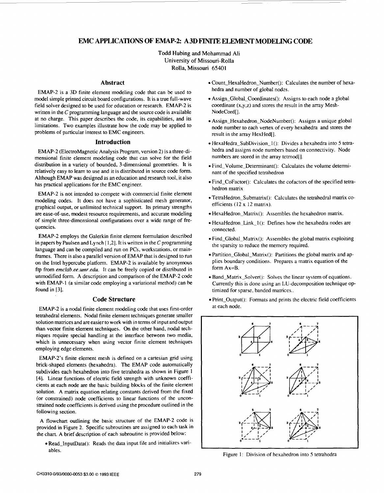# **EMC APPLICATIONS OF EMAP-2: A 3D FINITE ELEMENT MODELING CODE**

Todd Hubing and Mohammad Ali University of Missouri-Rolla Rolla, Missouri 65401

#### **Abstract**

EMAP-2 is a 3D finite element modeling code that can be used to model simple printed circuit board configurations. It is a true full-wave field solver designed to be used for education or research. EMAP-2 is written in the C programming language and the source code is available at no charge. This paper describes the code, its capabilities, and its limitations. Two examples illustrate how the code may be applied to problems of particular interest to EMC engineers.

## **Introduction**

EMAP-2 (ElectroMagnetic Analysis Program, version 2) is a three-dimensional finite element modeling code that can solve for the field distribution in a variety of bounded, 3-dimensional geometries. It is relatively easy to learn to use and it is distributed in source code form. Although EMAP was designed **as** an education and research tool, it also has practical applications for the EMC engineer.

EMAP-2 is not intended to compete with commercial finite element modeling codes. It does not have a sophisticated mesh generator, graphical output, or unlimited technical support. Its primary strengths are ease-of-use, modest resource requirements, and accurate modeling of simple three-dimensional configurations over a wide range of frequencies.

EMAP-2 employs the Galerkin finite element formulation described in papers by Paulsen and Lynch [ 1,2]. It is written in the C programming language and can be compiled and run on PCs, workstations, or mainframes. There is also a parallel version of EMAP that is designed to run on the Intel hypercube platform. EMAP-2 is available by anonymous ftp from *emclab.ee.umr.edu.* It can be freely copied or distributed in unmodified form. A description and comparison of the EMAP-2 code with EMAP-I (a similar code employing a variational method) can be found in [3].

### **Code Structure**

EMAP-2 is a nodal finite element modeling code that **uses** first-order tetrahedral elements. Nodal finite element techniques generate smaller solution matrices and are easier to work with in terms of input and output than vector finite element techniques. On the other hand, nodal techniques require special handling at the interface between two media, which is unnecessary when using vector finite element techniques employing edge elements.

EMAP-2's finite element mesh is defined on a cartesian grid using brick-shaped elements (hexahedra). The EMAP code automatically subdivides each hexahedron into five tetrahedra **as** shown in Figure **<sup>1</sup> (41.** Linear functions of electric field strength with unknown coefficients at each node are the basic building blocks of the finite element solution. A matrix equation relating constants derived from the fixed (or constrained) node coefficients to linear functions of the unconstrained node coefficients is derived using the procedure outlined in the following section.

A flowchart outlining the basic structure of the EMAP-2 code is provided in Figure 2. Specific subroutines are assigned to each task in the chart. A brief description of each subroutine is provided below:

Read-InputData(): Reads the data input file and initializes variables.

- Count-HexaHedron-Number(): Calculates the number of hexahedra and number of global nodes.
- Assign\_Global\_Coordinates(): Assigns to each node a global coordinate  $(x,y,z)$  and stores the result in the array Mesh-NodeCord[].
- Assign\_Hexahedron\_NodeNumber(): Assigns a unique global node number to each vertex of every hexahedra and stores the result in the array HexHed[].
- HexaHedra-SubDivision-l(): Divides a hexahedra into *5* tetrahedra and assigns node numbers based on connectivity. Node numbers are stored in the array tetmod[].
- Find-Volume-Determinant(): Calculates the volume determinant of the specified tetrahedron
- Find-CoFactor(): Calculates the cofactors of the specified tetrahedron matrix
- TetraHedron\_Submatrix(): Calculates the tetrahedral matrix coefficients (12 X 12 matrix).
- HexaHedron-Matrix(): Assembles the hexahedron matrix.
- $\bullet$  HexaHedron\_Link\_1(): Defines how the hexahedra nodes are connected.
- Find-Global\_Matrix(): Assembles the global matrix exploiting the sparsity to reduce the memory required.
- Partition-Global-Matrix(): Partitions the global matrix and applies boundary conditions. Prepares a matrix equation of the form Ax=B.
- Band\_Matrix\_Solver(): Solves the linear system of equations. Currently this is done using an LU-decomposition technique optimized for sparse, banded matrices..
- Print\_Output(): Formats and prints the electric field coefficients at each node.



Figure 1: Division of hexahedron into *5* tetrahedra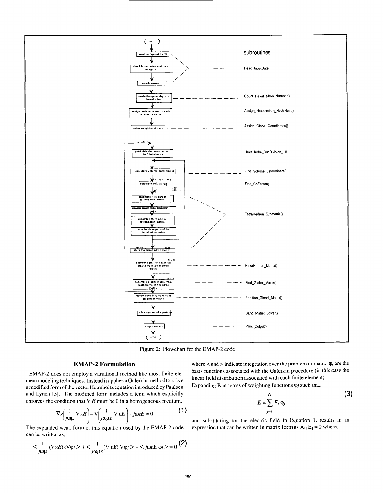

Figure 2: Flowchart for the EMAP-2 code

## **EMAP-2 Formulation**

EMAP-2 does not employ a variational method like most finite element modeling techniques. Instead it applies a Galerkin method **to** solve a modified form of the vector Helmholtz equation introduced by Paulsen and Lynch **131.** The modified form includes a term which explicitly enforces the condition that  $\nabla E$  must be 0 in a homogeneous medium,

$$
\nabla \times \left( \frac{1}{j \omega \mu} \nabla \times \mathbf{E} \right) - \nabla \left( \frac{1}{j \omega \mu \varepsilon} \nabla \cdot \varepsilon \mathbf{E} \right) + j \omega \varepsilon \mathbf{E} = 0 \tag{1}
$$

The expanded weak form of this equation used by the EMAP-2 code can be written as,

$$
<\frac{1}{j\omega\mu}\left(\nabla\times\boldsymbol{E})\times\nabla\phi_{i}\right.> +<\frac{1}{j\omega\mu\epsilon}(\nabla\cdot\boldsymbol{\epsilon}\boldsymbol{E})\,\nabla\phi_{i}\left.>\right. +\right. =0\,\,\big(2\big)
$$

where < and > indicate integration over the problem domain. **vi** are the basis functions associated with the Galerkin procedure (in this case the linear field distribution associated with each finite element). Expanding  $E$  in terms of weighting functions  $\varphi_j$  such that,

$$
E = \sum_{j=1}^{N} E_j \varphi_j
$$
 (3)

and substituting for the electric field in Equation **1,** results in an expression that can be written in matrix form as  $A_{ij}E_j = 0$  where,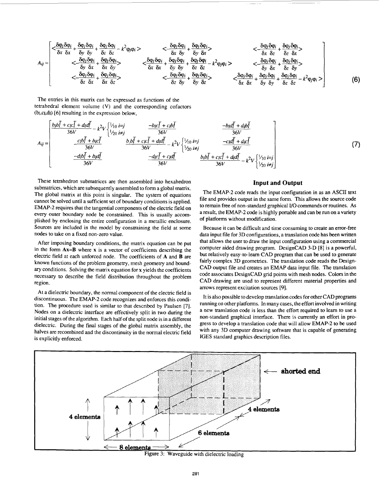$$
A_{ij} = \begin{bmatrix} <\frac{\delta \varphi_j \delta \varphi_i}{\delta x} + \frac{\delta \varphi_j \delta \varphi_i}{\delta y} + \frac{\delta \varphi_j \delta \varphi_i}{\delta z} - k^2 \varphi_j \varphi_i > & <\frac{\delta \varphi_j \delta \varphi_i}{\delta x} + \frac{\delta \varphi_j \delta \varphi_i}{\delta y} & <\frac{\delta \varphi_j \delta \varphi_i}{\delta x} \\ < & <\frac{\delta \varphi_j \delta \varphi_i}{\delta y} + \frac{\delta \varphi_j \delta \varphi_i}{\delta x} > & <\frac{\delta \varphi_j \delta \varphi_i}{\delta x} + \frac{\delta \varphi_j \delta \varphi_i}{\delta y} + \frac{\delta \varphi_j \delta \varphi_i}{\delta y} + \frac{\delta \varphi_j \delta \varphi_i}{\delta y} & <\frac{\delta \varphi_j \delta \varphi_i}{\delta x} + \frac{\delta \varphi_j \delta \varphi_i}{\delta y} < & <\frac{\delta \varphi_j \delta \varphi_i}{\delta z} + \frac{\delta \varphi_j \delta \varphi_i}{\delta x} > & <\frac{\delta \varphi_j \delta \varphi_i}{\delta x} + \frac{\delta \varphi_j \delta \varphi_i}{\delta y} + \frac{\delta \varphi_j \delta \varphi_i}{\delta z} & <\frac{\delta \varphi_j \delta \varphi_i}{\delta y} + \frac{\delta \varphi_j \delta \varphi_i}{\delta y} < & <\frac{\delta \varphi_j \delta \varphi_i}{\delta z} + \frac{\delta \varphi_j \delta \varphi_i}{\delta x} > & <\frac{\delta \varphi_j \delta \varphi_i}{\delta x} + \frac{\delta \varphi_j \delta \varphi_i}{\delta y} + \frac{\delta \varphi_j \delta \varphi_i}{\delta y} + \frac{\delta \varphi_j \delta \varphi_i}{\delta y} - k^2 \varphi_j \varphi_i > \\ & <\frac{\delta \varphi_j \delta \varphi_i}{\delta z} + \frac{\delta \varphi_j \delta \varphi_i}{\delta x} & <\frac{\delta \varphi_j \delta \varphi_i}{\delta x} > & <\frac{\delta \varphi_j \delta \varphi_i}{\delta x} + \frac{\delta \varphi_j \delta \varphi_i}{\delta y} + \frac{\delta \varphi_j \delta \varphi_i}{\delta y} - k^2 \varphi_j \varphi_i > \end{bmatrix}
$$
(6)

The entries in this matrix can be expressed as functions of the tetrahedral element volume **(V)** and the corresponding cofactors  $(b<sub>l</sub>,c<sub>l</sub>,d<sub>l</sub>)$  [6] resulting in the expression below,

$$
A_{ij} = \begin{bmatrix} \frac{b_{1}b\bar{l} + c_{1}c\bar{l} + d_{1}d\bar{l}}{36V} - k^{2}V \begin{bmatrix} \frac{1}{1}\frac{1}{10} & \frac{-b_{1}c\bar{l} + c_{1}b\bar{l}}{36V} \\ \frac{1}{20} & \frac{1}{20} & \frac{1}{20} \end{bmatrix} & \frac{-b_{1}c\bar{l} + c_{1}b\bar{l}}{36V} \\ \frac{-c_{1}b\bar{l} + b_{1}c\bar{l}}{36V} & \frac{b_{1}b\bar{l} + c_{1}c\bar{l} + d_{1}d\bar{l}}{36V} - k^{2}V \begin{bmatrix} \frac{1}{1}\frac{1}{10} & \frac{-c_{1}d\bar{l} + d_{1}c\bar{l}}{36V} \\ \frac{1}{20} & \frac{1}{20} & \frac{1}{20} \end{bmatrix} \\ \frac{-d_{1}b\bar{l} + b_{1}d\bar{l}}{36V} & \frac{-d_{1}c\bar{l} + c_{1}d\bar{l}}{36V} & \frac{b_{1}b\bar{l} + c_{1}c\bar{l} + d_{1}d\bar{l}}{36V} - k^{2}V \begin{bmatrix} \frac{1}{1}\frac{1}{10} & \frac{1}{10} \\ \frac{1}{20} & \frac{1}{20} \end{bmatrix} \end{bmatrix}
$$
(7)

These tetrahedron submatrices are then assembled into hexahedron submatrices, which are subsequently assembled to form a global matrix. The global matrix at this point is singular. The system of equations cannot be solved until a sufficient set of boundary conditions is applied. EMAP-2 requires that the tangential components of the electric field on every outer boundary node be constrained. This is usually accomplished by enclosing the entire configuration in a metallic enclosure. Sources are included in the model by constraining the field at some nodes to take on a fixed non-zero value.

After imposing boundary conditions, the matrix equation can be put in the form **Ax=B** where **x** is a vector of coefficients describing the electric field at each unforced node. The coefficients of **A** and **B** are known functions of the problem geometry, mesh geometry and boundary conditions. Solving the matrix equation for **x** yields the coefficients necessary to describe the field distribution throughout the problem region.

At a dielectric boundary, the normal component of the electric field is discontinuous. The EMAP-2 code recognizes and enforces this condition. The procedure used is similar to that described by Paulsen [7]. Nodes on a dielectric interface are effectively split in two during the initial stages of the algorithm. Each half of the split node is in a different dielectric. During the final stages of the global matrix assembly, the halves are recombined and the discontinuity in the normal electric field is explicitly enforced.

## **Input and Output**

The EMAP-2 code reads the input configuration in as an ASCII text file and provides output in the same form. This allows the source code to remain free of non-standard graphical *VO* commands or routines. As a result, the EMAP-2 code is highly portable and can be run on a variety of platforms without modification.

Because it can be difficult and time consuming to create an error-free data input file for 3D configurations, a translation code has been written that allows the user to draw the input configuration using a commercial computer aided drawing program. DesignCAD 3-D **[8]** is a powerful, but relatively easy-to-learn CAD program that can be used to generate fairly complex 3D geometries. The translation code reads the Design-CAD output file and creates an EMAP data input file. The translation code associates DesignCAD grid points with mesh nodes. Colors in the CAD drawing are used to represent different material properties and arrows represent excitation sources [9].

It is also possible to develop translation codes for other CAD programs running on other platforms. In many cases, the effort involved in writing a new translation code is less than the effort required to learn to use a non-standard graphical interface. There is currently an effort in progress to develop a translation code that will allow EMAP-2 to be used with any 3D computer drawing software that is capable of generating **ICES** standard graphics description files.

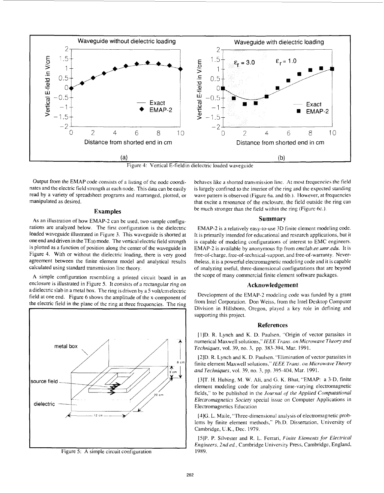

Figure 4: Vertical E-fieldin dielectric loaded waveguide

Output from the EMAP code consists of a listing of the node coordinates and the electric field strength at each node. This data can be easily read by a variety of spreadsheet programs and rearranged, plotted, or manipulated as desired.

#### **Examples**

As an illustration of how EMAP-2 can be used, two sample configurations are analyzed below. The first configuration is the dielectric loaded waveguide illustrated in Figure 3. This waveguide is shorted at one end and driven in the TEio mode. The vertical electric field strength **is** plotted as a function of position along the center of the waveguide in Figure **4.** With or without the dielectric loading, there is very good agreement between the finite element model and analytical results calculated using standard transmission line theory.

A simple configuration resembling a printed circuit board in an enclosure is illustrated in Figure 5. It consists of a rectangular ring on a dielectric slab in a metal box. The ring is driven by a 5 volt/cm electric field at one end. [Figure](#page-5-0) 6 shows the amplitude of the x-component of the electric field in the plane of the ring at three frequencies. The rin



Figure *5:* A simple circuit configuration

behaves like a shorted transmission line. At most frequencies the field is largely confined to the interior of the ring and the expected standing wave pattern is observed (Figure 6a. and 6b.). However, at frequencies that excite a resonance of the enclosure, the field outside the ring can be much stronger than the field within the ring (Figure 6c.).

## **Summary**

EMAP-2 is a relatively easy-to-use 3D finite element modeling code. It is primarily intended for educational and research applications, but it is capable of modeling configurations of interest to EMC engineers. EMAP-2 is available by anonymous ftp from *[emclah.ee.umr.edu.](http://emclah.ee.umr.edu)* It is free-of-charge, free-of-technical-support, and free-of-warranty. Nevertheless, it is a powerful electromagnetic modeling code and it is capable of analyzing useful, three-dimensional configurations that are beyond the scope of many commercial finite element software packages.

#### **Acknowledgement**

Development of the EMAP-2 modeling code was funded by a grant from Intel Corporation. Don Weiss, from the Intel Desktop Computer Division in Hillsboro, Oregon, played a key role in defining and supporting this project.

#### **References**

11)D. R. Lynch and K. D. Paulsen, "Origin of vector parasites in numerical Maxwell solutions," IEEE Trans. on Microwave Theory and *Techniques,* vol. 39, no. 3, pp. 383-394, Mar. 1991.

[2]D. R. Lynch and K. D. Paulsen. "Elimination of vector parasites in finite element Maxwell solutions," *lEEE Truns. on Microwave Theory and Techniques,* vol. 39, no. *3.* pp. 395-304, Mar. 1991.

[3]T. H. Hubing, M. W. Ali, and *G.* K. Bhat, "EMAP: a 3-D, finite element modeling code for analyzing time-varying electromagnetic fields," to be published in the *Journal of the Applied Computational Electromagnetics Sociev* special issue on Computer Applications in Electromagnetics Education

[4]G. L. Maile, "Three-dimensional analysis of electromagnetic problems by finite element methods," Ph.D. Dissertation, University of Cambridge, **U.K.,** Dec. 1979.

[SIP. P. Silvester and R. L. Ferrari, *Finite Elements for Electricd Engineers, 2nd ed.,* Cambridge University Press, Cambridge, England, 1989.